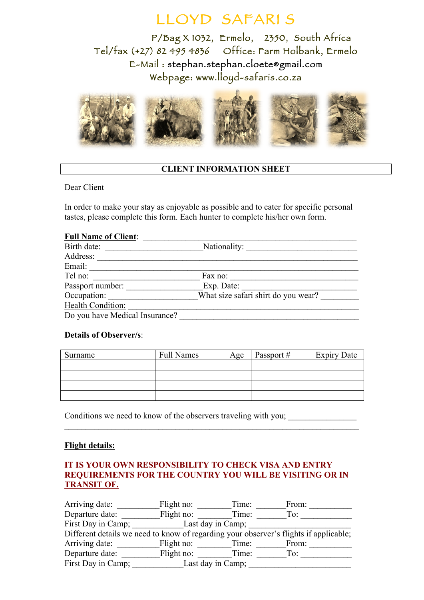# LLOYD SAFARI S

P/Bag X 1032, Ermelo, 2350, South Africa Tel/fax (+27) 82 495 4836 Office: Farm Holbank, Ermelo E-Mail : stephan.stephan.cloete@gmail.com Webpage: www.lloyd-safaris.co.za



#### **CLIENT INFORMATION SHEET**

Dear Client

In order to make your stay as enjoyable as possible and to cater for specific personal tastes, please complete this form. Each hunter to complete his/her own form.

#### Full Name of Client:

| Birth date:                    | Nationality:                        |
|--------------------------------|-------------------------------------|
| Address:                       |                                     |
| Email:                         |                                     |
| Tel no:                        | Fax no:                             |
| Passport number:               | Exp. Date:                          |
| Occupation:                    | What size safari shirt do you wear? |
| Health Condition:              |                                     |
| Do you have Medical Insurance? |                                     |

#### **Details of Observer/s**:

| Surname | <b>Full Names</b> | Age | Passport # | <b>Expiry Date</b> |
|---------|-------------------|-----|------------|--------------------|
|         |                   |     |            |                    |
|         |                   |     |            |                    |
|         |                   |     |            |                    |
|         |                   |     |            |                    |

 $\mathcal{L}_\text{max} = \frac{1}{2} \sum_{i=1}^n \mathcal{L}_\text{max}(\mathbf{z}_i - \mathbf{z}_i)$ 

Conditions we need to know of the observers traveling with you;

#### **Flight details:**

#### **IT IS YOUR OWN RESPONSIBILITY TO CHECK VISA AND ENTRY REQUIREMENTS FOR THE COUNTRY YOU WILL BE VISITING OR IN TRANSIT OF.**

| Arriving date:     | Flight no: |                   | Time: | From:                                                                                 |
|--------------------|------------|-------------------|-------|---------------------------------------------------------------------------------------|
| Departure date:    | Flight no: |                   | Time: | To:                                                                                   |
| First Day in Camp; |            | Last day in Camp; |       |                                                                                       |
|                    |            |                   |       | Different details we need to know of regarding your observer's flights if applicable; |
| Arriving date:     | Flight no: |                   | Time: | From:                                                                                 |
| Departure date:    | Flight no: |                   | Time: | To:                                                                                   |
| First Day in Camp; |            | Last day in Camp; |       |                                                                                       |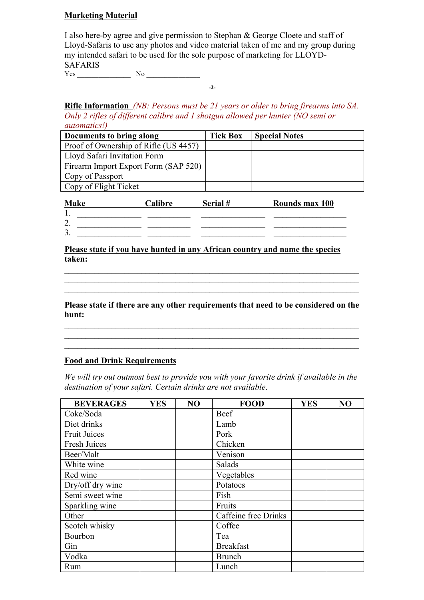#### **Marketing Material**

I also here-by agree and give permission to Stephan & George Cloete and staff of Lloyd-Safaris to use any photos and video material taken of me and my group during my intended safari to be used for the sole purpose of marketing for LLOYD-SAFARIS

 $Yes$  No  $\qquad$ 

**Rifle Information** *(NB: Persons must be 21 years or older to bring firearms into SA. Only 2 rifles of different calibre and 1 shotgun allowed per hunter (NO semi or automatics!)* 

**-2-**

| Documents to bring along              | <b>Tick Box</b> | <b>Special Notes</b> |
|---------------------------------------|-----------------|----------------------|
| Proof of Ownership of Rifle (US 4457) |                 |                      |
| Lloyd Safari Invitation Form          |                 |                      |
| Firearm Import Export Form (SAP 520)  |                 |                      |
| Copy of Passport                      |                 |                      |
| Copy of Flight Ticket                 |                 |                      |

| <b>Make</b>                    | Calibre | Serial# | Rounds max 100 |
|--------------------------------|---------|---------|----------------|
|                                |         |         |                |
| $\sim$<br>2.                   |         |         |                |
| $\mathbf{\overline{3}}$<br>J . |         |         |                |

#### **Please state if you have hunted in any African country and name the species taken:**

**Please state if there are any other requirements that need to be considered on the hunt:**

 $\mathcal{L}_\mathcal{L} = \mathcal{L}_\mathcal{L} = \mathcal{L}_\mathcal{L} = \mathcal{L}_\mathcal{L} = \mathcal{L}_\mathcal{L} = \mathcal{L}_\mathcal{L} = \mathcal{L}_\mathcal{L} = \mathcal{L}_\mathcal{L} = \mathcal{L}_\mathcal{L} = \mathcal{L}_\mathcal{L} = \mathcal{L}_\mathcal{L} = \mathcal{L}_\mathcal{L} = \mathcal{L}_\mathcal{L} = \mathcal{L}_\mathcal{L} = \mathcal{L}_\mathcal{L} = \mathcal{L}_\mathcal{L} = \mathcal{L}_\mathcal{L}$  $\mathcal{L}_\text{max}$  $\mathcal{L}_\mathcal{L} = \mathcal{L}_\mathcal{L} = \mathcal{L}_\mathcal{L} = \mathcal{L}_\mathcal{L} = \mathcal{L}_\mathcal{L} = \mathcal{L}_\mathcal{L} = \mathcal{L}_\mathcal{L} = \mathcal{L}_\mathcal{L} = \mathcal{L}_\mathcal{L} = \mathcal{L}_\mathcal{L} = \mathcal{L}_\mathcal{L} = \mathcal{L}_\mathcal{L} = \mathcal{L}_\mathcal{L} = \mathcal{L}_\mathcal{L} = \mathcal{L}_\mathcal{L} = \mathcal{L}_\mathcal{L} = \mathcal{L}_\mathcal{L}$ 

 $\mathcal{L}_\mathcal{L} = \mathcal{L}_\mathcal{L} = \mathcal{L}_\mathcal{L} = \mathcal{L}_\mathcal{L} = \mathcal{L}_\mathcal{L} = \mathcal{L}_\mathcal{L} = \mathcal{L}_\mathcal{L} = \mathcal{L}_\mathcal{L} = \mathcal{L}_\mathcal{L} = \mathcal{L}_\mathcal{L} = \mathcal{L}_\mathcal{L} = \mathcal{L}_\mathcal{L} = \mathcal{L}_\mathcal{L} = \mathcal{L}_\mathcal{L} = \mathcal{L}_\mathcal{L} = \mathcal{L}_\mathcal{L} = \mathcal{L}_\mathcal{L}$  $\mathcal{L}_\text{max} = \frac{1}{2} \sum_{i=1}^n \mathcal{L}_\text{max}(\mathbf{z}_i - \mathbf{z}_i)$  $\mathcal{L}_\mathcal{L} = \mathcal{L}_\mathcal{L} = \mathcal{L}_\mathcal{L} = \mathcal{L}_\mathcal{L} = \mathcal{L}_\mathcal{L} = \mathcal{L}_\mathcal{L} = \mathcal{L}_\mathcal{L} = \mathcal{L}_\mathcal{L} = \mathcal{L}_\mathcal{L} = \mathcal{L}_\mathcal{L} = \mathcal{L}_\mathcal{L} = \mathcal{L}_\mathcal{L} = \mathcal{L}_\mathcal{L} = \mathcal{L}_\mathcal{L} = \mathcal{L}_\mathcal{L} = \mathcal{L}_\mathcal{L} = \mathcal{L}_\mathcal{L}$ 

#### **Food and Drink Requirements**

*We will try out outmost best to provide you with your favorite drink if available in the destination of your safari. Certain drinks are not available*.

| <b>BEVERAGES</b>    | <b>YES</b> | N <sub>O</sub> | <b>FOOD</b>          | <b>YES</b> | N <sub>O</sub> |
|---------------------|------------|----------------|----------------------|------------|----------------|
| Coke/Soda           |            |                | Beef                 |            |                |
| Diet drinks         |            |                | Lamb                 |            |                |
| <b>Fruit Juices</b> |            |                | Pork                 |            |                |
| Fresh Juices        |            |                | Chicken              |            |                |
| Beer/Malt           |            |                | Venison              |            |                |
| White wine          |            |                | Salads               |            |                |
| Red wine            |            |                | Vegetables           |            |                |
| Dry/off dry wine    |            |                | Potatoes             |            |                |
| Semi sweet wine     |            |                | Fish                 |            |                |
| Sparkling wine      |            |                | Fruits               |            |                |
| Other               |            |                | Caffeine free Drinks |            |                |
| Scotch whisky       |            |                | Coffee               |            |                |
| Bourbon             |            |                | Tea                  |            |                |
| Gin                 |            |                | <b>Breakfast</b>     |            |                |
| Vodka               |            |                | <b>Brunch</b>        |            |                |
| Rum                 |            |                | Lunch                |            |                |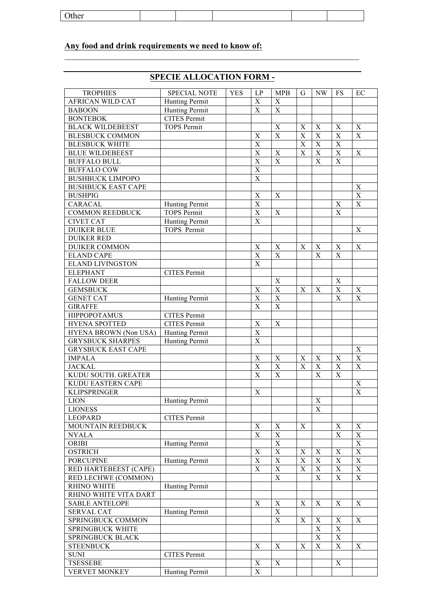| )ther<br>$\mathbf{u}$ |  |  |  |
|-----------------------|--|--|--|
|                       |  |  |  |

### **Any food and drink requirements we need to know of:**

## **SPECIE ALLOCATION FORM -**

 $\mathcal{L}_\mathcal{L} = \mathcal{L}_\mathcal{L} = \mathcal{L}_\mathcal{L} = \mathcal{L}_\mathcal{L} = \mathcal{L}_\mathcal{L} = \mathcal{L}_\mathcal{L} = \mathcal{L}_\mathcal{L} = \mathcal{L}_\mathcal{L} = \mathcal{L}_\mathcal{L} = \mathcal{L}_\mathcal{L} = \mathcal{L}_\mathcal{L} = \mathcal{L}_\mathcal{L} = \mathcal{L}_\mathcal{L} = \mathcal{L}_\mathcal{L} = \mathcal{L}_\mathcal{L} = \mathcal{L}_\mathcal{L} = \mathcal{L}_\mathcal{L}$ 

| <b>TROPHIES</b>           | <b>SPECIAL NOTE</b>   |            |                           |                           |                         | <b>NW</b>                 |             |             |
|---------------------------|-----------------------|------------|---------------------------|---------------------------|-------------------------|---------------------------|-------------|-------------|
|                           |                       | <b>YES</b> | LP<br>$\mathbf X$         | <b>MPB</b><br>$\mathbf X$ | G                       |                           | <b>FS</b>   | EC          |
| <b>AFRICAN WILD CAT</b>   | Hunting Permit        |            |                           |                           |                         |                           |             |             |
| <b>BABOON</b>             | <b>Hunting Permit</b> |            | X                         | $\mathbf X$               |                         |                           |             |             |
| <b>BONTEBOK</b>           | <b>CITES Permit</b>   |            |                           |                           |                         |                           |             |             |
| <b>BLACK WILDEBEEST</b>   | <b>TOPS Permit</b>    |            |                           | $\mathbf X$               | $\boldsymbol{X}$        | $\mathbf X$               | X           | X           |
| <b>BLESBUCK COMMON</b>    |                       |            | X                         | X                         | $\mathbf X$             | $\boldsymbol{\mathrm{X}}$ | $\mathbf X$ | X           |
| <b>BLESBUCK WHITE</b>     |                       |            | X                         |                           | $\overline{\mathbf{X}}$ | $\mathbf X$               | $\mathbf X$ |             |
| <b>BLUE WILDEBEEST</b>    |                       |            | X                         | $\mathbf X$               | X                       | $\mathbf X$               | $\mathbf X$ | $\mathbf X$ |
| <b>BUFFALO BULL</b>       |                       |            | $\boldsymbol{X}$          | X                         |                         | X                         | $\mathbf X$ |             |
| <b>BUFFALO COW</b>        |                       |            | $\boldsymbol{X}$          |                           |                         |                           |             |             |
| <b>BUSHBUCK LIMPOPO</b>   |                       |            | $\boldsymbol{X}$          |                           |                         |                           |             |             |
| <b>BUSHBUCK EAST CAPE</b> |                       |            |                           |                           |                         |                           |             | X           |
| <b>BUSHPIG</b>            |                       |            | $\boldsymbol{X}$          | $\boldsymbol{\mathrm{X}}$ |                         |                           |             | $\mathbf X$ |
| CARACAL                   | Hunting Permit        |            | $\mathbf X$               |                           |                         |                           | $\mathbf X$ | $\mathbf X$ |
| <b>COMMON REEDBUCK</b>    | <b>TOPS Permit</b>    |            | $\mathbf X$               | $\mathbf X$               |                         |                           | $\mathbf X$ |             |
| <b>CIVET CAT</b>          | Hunting Permit        |            | X                         |                           |                         |                           |             |             |
| <b>DUIKER BLUE</b>        | <b>TOPS</b> Permit    |            |                           |                           |                         |                           |             | X           |
| <b>DUIKER RED</b>         |                       |            |                           |                           |                         |                           |             |             |
| <b>DUIKER COMMON</b>      |                       |            | X                         | $\mathbf X$               | X                       | X                         | X           | $\mathbf X$ |
| <b>ELAND CAPE</b>         |                       |            | X                         | X                         |                         | X                         | $\mathbf X$ |             |
| <b>ELAND LIVINGSTON</b>   |                       |            | $\boldsymbol{\mathrm{X}}$ |                           |                         |                           |             |             |
| <b>ELEPHANT</b>           | <b>CITES Permit</b>   |            |                           |                           |                         |                           |             |             |
|                           |                       |            |                           | X                         |                         |                           |             |             |
| <b>FALLOW DEER</b>        |                       |            |                           |                           |                         |                           | X           |             |
| <b>GEMSBUCK</b>           |                       |            | X                         | $\mathbf X$               | X                       | X                         | $\mathbf X$ | X           |
| <b>GENET CAT</b>          | <b>Hunting Permit</b> |            | X                         | $\overline{X}$            |                         |                           | X           | X           |
| <b>GIRAFFE</b>            |                       |            | X                         | $\overline{X}$            |                         |                           |             |             |
| <b>HIPPOPOTAMUS</b>       | <b>CITES Permit</b>   |            |                           |                           |                         |                           |             |             |
| <b>HYENA SPOTTED</b>      | <b>CITES Permit</b>   |            | X                         | $\mathbf X$               |                         |                           |             |             |
| HYENA BROWN (Non USA)     | <b>Hunting Permit</b> |            | X                         |                           |                         |                           |             |             |
| <b>GRYSBUCK SHARPES</b>   | <b>Hunting Permit</b> |            | X                         |                           |                         |                           |             |             |
| <b>GRYSBUCK EAST CAPE</b> |                       |            |                           |                           |                         |                           |             | X           |
| <b>IMPALA</b>             |                       |            | X                         | $\mathbf X$               | X                       | $\boldsymbol{\mathrm{X}}$ | X           | $\mathbf X$ |
| <b>JACKAL</b>             |                       |            | X                         | $\mathbf X$               | X                       | $\mathbf X$               | $\mathbf X$ | X           |
| KUDU SOUTH. GREATER       |                       |            | X                         | $\mathbf X$               |                         | X                         | $\mathbf X$ |             |
| <b>KUDU EASTERN CAPE</b>  |                       |            |                           |                           |                         |                           |             | X           |
| <b>KLIPSPRINGER</b>       |                       |            | X                         |                           |                         |                           |             | X           |
| <b>LION</b>               | Hunting Permit        |            |                           |                           |                         | $\boldsymbol{\mathrm{X}}$ |             |             |
| <b>LIONESS</b>            |                       |            |                           |                           |                         | X                         |             |             |
| <b>LEOPARD</b>            | <b>CITES Permit</b>   |            |                           |                           |                         |                           |             |             |
| MOUNTAIN REEDBUCK         |                       |            | X                         | $\mathbf X$               | X                       |                           | X           | X           |
| <b>NYALA</b>              |                       |            | $\boldsymbol{\mathrm{X}}$ | $\mathbf X$               |                         |                           | $\mathbf X$ | $\mathbf X$ |
| ORIBI                     | <b>Hunting Permit</b> |            |                           | $\mathbf X$               |                         |                           |             | $\mathbf X$ |
| <b>OSTRICH</b>            |                       |            | $\mathbf X$               | $\overline{X}$            | $\mathbf X$             | $\mathbf X$               | $\mathbf X$ | $\mathbf X$ |
| <b>PORCUPINE</b>          | Hunting Permit        |            | X                         | $\overline{X}$            | $\mathbf X$             | $\mathbf X$               | $\mathbf X$ | $\mathbf X$ |
| RED HARTEBEEST (CAPE)     |                       |            | $\mathbf X$               | $\mathbf X$               | $\mathbf X$             | $\mathbf X$               | $\mathbf X$ | $\mathbf X$ |
|                           |                       |            |                           | $\mathbf X$               |                         |                           |             |             |
| RED LECHWE (COMMON)       |                       |            |                           |                           |                         | $\mathbf X$               | $\mathbf X$ | $\mathbf X$ |
| <b>RHINO WHITE</b>        | Hunting Permit        |            |                           |                           |                         |                           |             |             |
| RHINO WHITE VITA DART     |                       |            |                           |                           |                         |                           |             |             |
| <b>SABLE ANTELOPE</b>     |                       |            | X                         | $\mathbf X$               | X                       | $\boldsymbol{\mathrm{X}}$ | X           | X           |
| <b>SERVAL CAT</b>         | Hunting Permit        |            |                           | $\mathbf X$               |                         |                           |             |             |
| SPRINGBUCK COMMON         |                       |            |                           | $\mathbf X$               | $\mathbf X$             | X                         | X           | X           |
| SPRINGBUCK WHITE          |                       |            |                           |                           |                         | $\mathbf X$               | $\mathbf X$ |             |
| SPRINGBUCK BLACK          |                       |            |                           |                           |                         | $\mathbf X$               | $\mathbf X$ |             |
| <b>STEENBUCK</b>          |                       |            | X                         | $\mathbf X$               | $\mathbf X$             | $\mathbf X$               | $\mathbf X$ | X           |
| <b>SUNI</b>               | <b>CITES Permit</b>   |            |                           |                           |                         |                           |             |             |
| <b>TSESSEBE</b>           |                       |            | $\boldsymbol{X}$          | $\mathbf X$               |                         |                           | X           |             |
| <b>VERVET MONKEY</b>      | Hunting Permit        |            | $\mathbf X$               |                           |                         |                           |             |             |